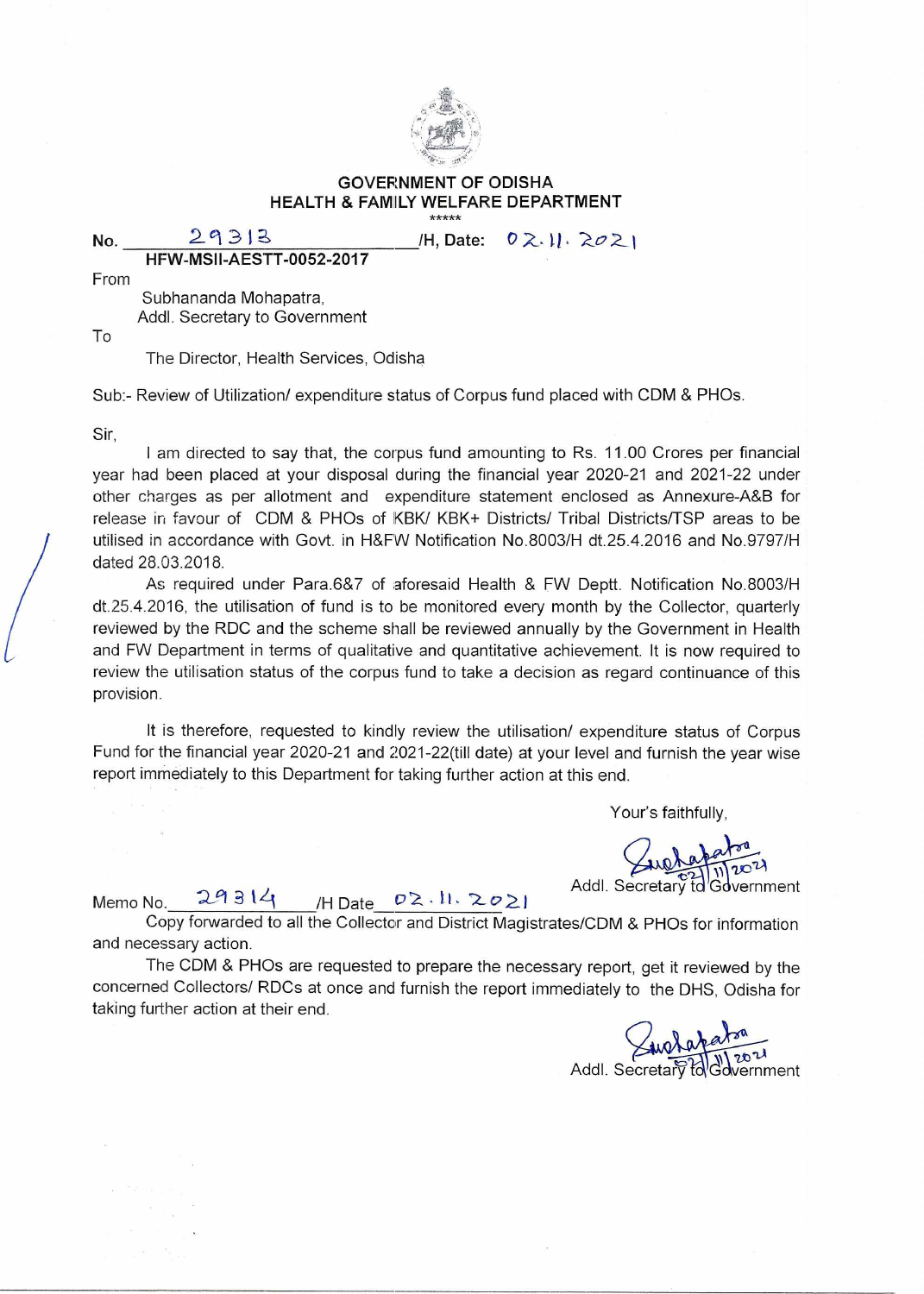

## GOVERNMENT OF ODISHA HEALTH & FAMILY WELFARE DEPARTMENT \*\*\*\*\*

**No.** 29313 /H, Date: 02.11.2021

**HFW-MSII-AESTT-0052-2017** 

From

Subhananda Mohapatra, Addl. Secretary to Government

To

The Director, Health Services, Odisha

Sub:- Review of Utilization/ expenditure status of Corpus fund placed with CDM & PHOs.

Sir,

**I** am directed to say that, the corpus fund amounting to Rs. 11.00 Crores per financial year had been placed at your disposal during the financial year 2020-21 and 2021-22 under other charges as per allotment and expenditure statement enclosed as Annexure-A&B for release in favour of CDM & PHOs of KBK/ KBK+ Districts/ Tribal Districts/TSP areas to be utilised in accordance with Govt. in H&FW Notification No.8003/H dt.25.4.2016 and No.9797/H dated 28.03.2018.

As required under Para.6&7 of aforesaid Health & FW Deptt. Notification No.8003/H dt.25.4.2016, the utilisation of fund is to be monitored every month by the Collector, quarterly reviewed by the RDC and the scheme shall be reviewed annually by the Government in Health and FW Department in terms of qualitative and quantitative achievement. It is now required to review the utilisation status of the corpus fund to take a decision as regard continuance of this provision.

It is therefore, requested to kindly review the utilisation/ expenditure status of Corpus Fund for the financial year 2020-21 and 2021-22(till date) at your level and furnish the year wise report immediately to this Department for taking further action at this end.

Your's faithfully,

Memo No.  $29314$  /H Date  $02 \cdot 11 \cdot 2021$  Addl. Secretary to Government

Copy forwarded to all the Collector and District Magistrates/CDM & PHOs for information and necessary action.

The CDM & PHOs are requested to prepare the necessary report, get it reviewed by the concerned Collectors/ RDCs at once and furnish the report immediately to the DHS, Odisha for taking further action at their end.

Addl. Secretar Toldwern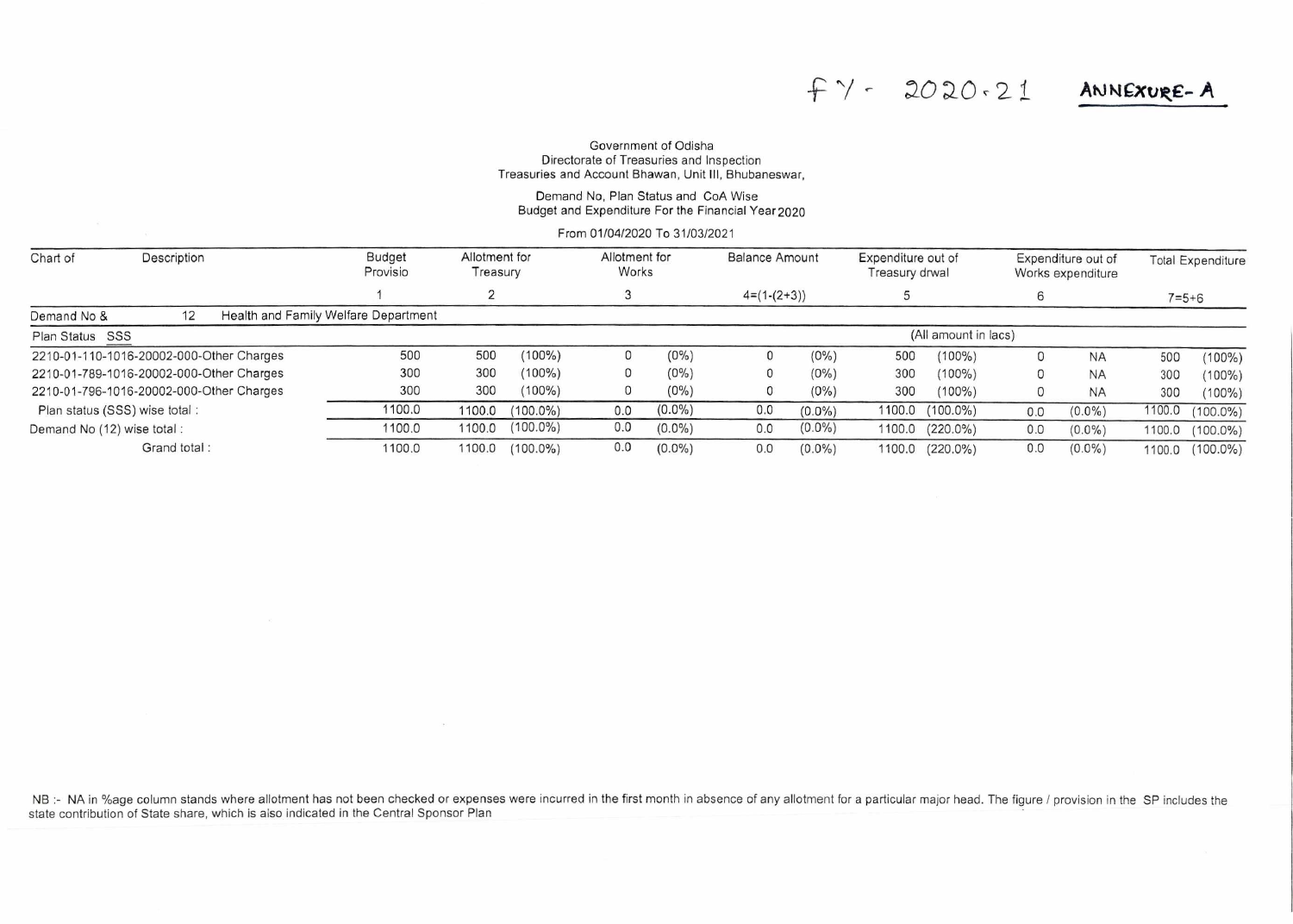# $f$   $\gamma$  - 2020.21 ANNEXURE-A

#### Government of Odisha Directorate of Treasuries and Inspection Treasuries and Account Bhawan, Unit III, Bhubaneswar,

### Demand No, Plan Status and CoA Wise Budget and Expenditure For the Financial Year 2020

From 01/04/2020 To 31/03/2021

| Chart of                                 | Description |  | <b>Budget</b><br>Provisio            |        | Allotment for<br>Treasury | Allotment for<br>Works |           | <b>Balance Amount</b> |           | Expenditure out of<br>Treasury drwal |                 | Expenditure out of<br>Works expenditure |           |             | <b>Total Expenditure</b> |  |
|------------------------------------------|-------------|--|--------------------------------------|--------|---------------------------|------------------------|-----------|-----------------------|-----------|--------------------------------------|-----------------|-----------------------------------------|-----------|-------------|--------------------------|--|
|                                          |             |  |                                      |        |                           |                        |           | $4=(1-(2+3))$         |           |                                      |                 |                                         |           | $7 = 5 + 6$ |                          |  |
| Demand No &                              | 12          |  | Health and Family Welfare Department |        |                           |                        |           |                       |           |                                      |                 |                                         |           |             |                          |  |
| Plan Status SSS                          |             |  |                                      |        |                           |                        |           | (All amount in lacs)  |           |                                      |                 |                                         |           |             |                          |  |
| 2210-01-110-1016-20002-000-Other Charges |             |  | 500                                  | 500    | $(100\%)$                 |                        | $(0\%)$   |                       | $(0\%)$   | 500                                  | $(100\%)$       | 0                                       | <b>NA</b> | 500         | $(100\%)$                |  |
| 2210-01-789-1016-20002-000-Other Charges |             |  | 300                                  | 300    | $(100\%)$                 | 0                      | $(0\%)$   |                       | $(0\%)$   | 300                                  | $(100\%)$       |                                         | <b>NA</b> | 300         | $(100\%)$                |  |
| 2210-01-796-1016-20002-000-Other Charges |             |  | 300                                  | 300    | $(100\%)$                 | $\mathbf{0}$           | $(0\%)$   |                       | $(0\%)$   | 300                                  | $(100\%)$       |                                         | <b>NA</b> | 300         | $(100\%)$                |  |
| Plan status (SSS) wise total:            |             |  | 1100.0                               | 1100.0 | $(100.0\%)$               | 0.0                    | $(0.0\%)$ | 0.0                   | $(0.0\%)$ | 1100.0                               | $(100.0\%)$     | 0.0                                     | $(0.0\%)$ | 1100.0      | $(100.0\%)$              |  |
| Demand No (12) wise total:               |             |  | 1100.0                               | 1100.0 | $(100.0\%)$               | 0.0                    | $(0.0\%)$ | 0.0                   | $(0.0\%)$ | 1100.0                               | $(220.0\%)$     | 0.0                                     | $(0.0\%)$ | 1100.0      | $(100.0\%)$              |  |
| Grand total:                             |             |  | 1100.0                               | 1100.0 | $(100.0\%)$               | 0.0                    | $(0.0\%)$ | 0.0                   | $(0.0\%)$ |                                      | 1100.0 (220.0%) | 0.0                                     | $(0.0\%)$ | 1100.0      | $(100.0\%)$              |  |

NB :- NA in %age column stands where allotment has not been checked or expenses were incurred in the first month in absence of any allotment for a particular major head. The figure / provision in the SP includes the state contribution of State share, which is also indicated in the Central Sponsor Plan